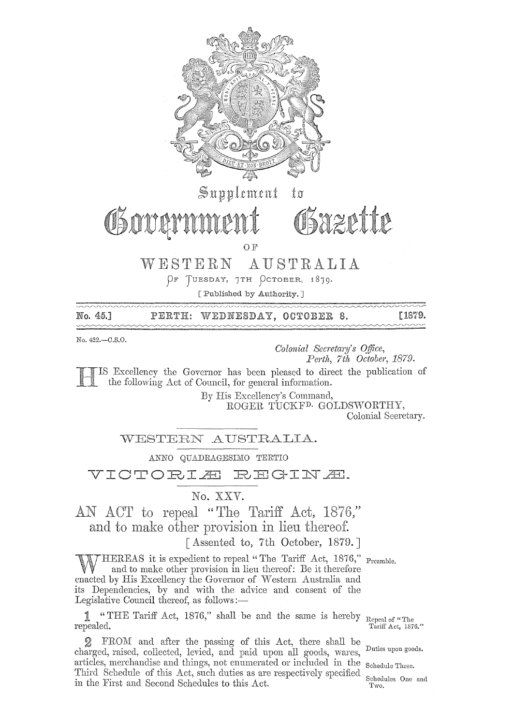

No. 45.] [1879. PERTH: WEDNESDAY, OCTOBER 8.  $\sim$   $\sim$   $\sim$   $\sim$ 

No. 422.-0.S.0.

*Colonial Secretary's o.tfice, Perth, 7th October, 1879.* 

IS Excellency the Governor has been pleased to direct the publication of the following Act of Council, for general information.

By Excellency's Command,

ROGER TUCKF<sup>D.</sup> GOLDSWORTHY,

Colonial Seeretary.

WESTERN AUSTRALIA.

ANNO QUADRAGESIMO TERTIO

VICTORIÆ REGINÆ.

No. XXV.

AN ACT to repeal "The Tariff Act, 1876," and to make other provision in lieu thereof.

[Assented to, 7th October, 1879.]

 $\mathcal{T} \text{HEREAS}$  it is expedient to repeal "The Tariff Act, 1876," Preamble. and to make other provision in lieu thereof: Be it therefore enacted by His Excellency the Governor of Western Australia and its Dependencies, by and with the advice and consent of the Legislative Council thereof, as follows:—

1 "THE Tariff Act, 1876," shall be and the same is hereby Repeal of "The repealed. Tariff Act, 1876

FROM and after the passing of this Act, there shall be charged, raised, collected, levied, and paid upon all goods, wares, Duties upon goods. articles, merchandise and things, not enumerated or included in the Schedule Three. Third Schedule of this Act, such duties as are respectively specified in the First and Second Schedules to this Act. Two.

Tariff Act, 1876."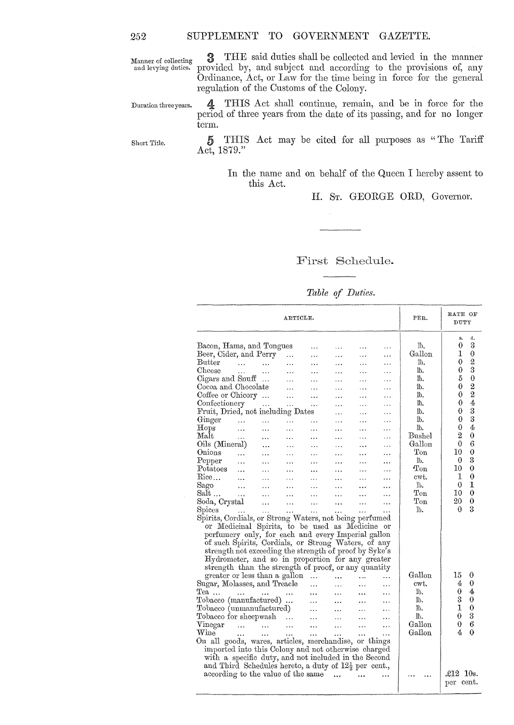Manner of collecting and levying duties.

3 THE said duties shall be collected and levied in the manner provided by, and subject and according to the provisions of, any Ordinance, Act, or Law for the time being in force for the general regulation of the Customs of the Colony.

Duration three years.

4 THIS Act shall continue, remain, and be in force for the period of three years from the date of its passing, and for no longer term.

Short Title.

5 THIS Act may be cited for all purposes as "The Tariff Act, 1879."

> In the name and on behalf of the Queen I hereby assent to this Act.

> > H. ST. GEORGE ORD, Governor.

### First Schedule.

|  |  | Table of Duties. |
|--|--|------------------|
|--|--|------------------|

| ARTICLE.                                                         |                            |                             |           |                         |           |                      |           | PER.         | RATE OF<br>DUTY       |
|------------------------------------------------------------------|----------------------------|-----------------------------|-----------|-------------------------|-----------|----------------------|-----------|--------------|-----------------------|
|                                                                  |                            |                             |           |                         |           |                      |           | Тb.          | d.<br>s.<br>3<br>0    |
| Bacon, Hams, and Tongues<br>Beer, Cider, and Perry               |                            |                             |           | $\overline{a}$          | .         | $\ddotsc$            | .         | Gallon       | 1<br>$\mathbf 0$      |
| <b>Butter</b>                                                    |                            |                             | $\ddotsc$ | .                       | .         |                      | .         | Ïb.          | $\overline{2}$<br>0   |
| Cheese                                                           | $\cdots$<br>$\ddotsc$      | $\ddotsc$                   | $\ddotsc$ | .                       | $\cdots$  | $\cdots$             | .         | lb.          | 3<br>0                |
| Cigars and Snuff                                                 |                            | $\cdots$                    | $\cdots$  |                         | .         | $\ddotsc$            | .         | Њ.           | 5<br>$\boldsymbol{0}$ |
| Cocoa and Chocolate                                              |                            |                             | .         | .                       | .         | .                    | $\cdots$  | Ïb.          | $\overline{2}$<br>0   |
| Coffee or Chicory                                                |                            |                             | $\ddotsc$ | $\ddotsc$               | .         | $\cdots$             | $\ddotsc$ | Ïb.          | $\overline{2}$<br>0   |
| Confectionery                                                    |                            |                             | $\cdots$  | $\ddotsc$               | .         | .                    | .         | lb.          | 4<br>0                |
| Fruit, Dried, not including Dates                                |                            | $\cdots$                    | $\ddotsc$ |                         | .         | $\ddotsc$            | $\ddotsc$ | ħ.           | 3<br>0                |
| Ginger                                                           |                            |                             |           |                         | .         | $\ddotsc$            | .         | в.           | 3<br>0                |
| Hops                                                             | $\ldots$                   | $\ddotsc$                   | $\ddotsc$ | $\cdots$                | .         | .                    | $\cdots$  | Ïb.          | 4<br>0                |
| Malt                                                             | $\ddotsc$                  | $\ddotsc$                   | $\ddots$  | .                       | $\ddotsc$ | .                    | $\ddotsc$ | Bushel       | $\overline{2}$<br>0   |
| Oils (Mineral)                                                   | $\ddotsc$                  | $\cdots$                    | $\ddotsc$ | $\cdots$                | .         | .                    | $\cdots$  | Gallon       | 6<br>0                |
| Onions                                                           |                            |                             | $\cdots$  | $\ddotsc$               | $\ddotsc$ |                      | .         | $_{\rm Ton}$ | $\theta$<br>10        |
|                                                                  | $\cdots$                   | $\ddotsc$                   | $\ddotsc$ | .                       | .         | .                    | .         | lb.          | 3<br>0                |
| Pepper<br>Potatoes                                               | $\ddotsc$                  | $\ddotsc$                   | $\ddotsc$ | $\cdots$                | .         |                      | $\ddotsc$ | $_{\rm Ton}$ | 0<br>10               |
| Rice                                                             | $\cdots$                   | $\cdots$                    | $\ddotsc$ | $\ddotsc$               | $\ddotsc$ | .                    | .         | cwt.         | 1<br>0                |
|                                                                  |                            | .                           | .         | .                       |           |                      |           | Īĥ.          | 1<br>$\theta$         |
| Sago                                                             | $\ddotsc$                  | $\ddotsc$                   | $\ddotsc$ | $\cdots$                | $\cdots$  | .                    | .         | Ton          | 0<br>10               |
| Salt                                                             | $\cdots$                   | .                           | .         | .                       |           |                      | .         | Ton          | 0<br>20               |
| Soda, Crystal                                                    |                            | $\cdots$                    | $\ddotsc$ | $\cdots$                | $\ddotsc$ | $\ddot{\phantom{a}}$ | .         | $1b$ .       | 3<br>0                |
| Spices                                                           |                            | $\mathbf{1}$ , $\mathbf{1}$ | $\ldots$  | $\epsilon$ . $\epsilon$ | $\ddotsc$ | $\ddotsc$            |           |              |                       |
| Spirits, Cordials, or Strong Waters, not being perfumed          |                            |                             |           |                         |           |                      |           |              |                       |
| or Medicinal Spirits, to be used as Medicine or                  |                            |                             |           |                         |           |                      |           |              |                       |
| perfumery only, for each and every Imperial gallon               |                            |                             |           |                         |           |                      |           |              |                       |
| of such Spirits, Cordials, or Strong Waters, of any              |                            |                             |           |                         |           |                      |           |              |                       |
| strength not exceeding the strength of proof by Syke's           |                            |                             |           |                         |           |                      |           |              |                       |
| Hydrometer, and so in proportion for any greater                 |                            |                             |           |                         |           |                      |           |              |                       |
| strength than the strength of proof, or any quantity             |                            |                             |           |                         |           |                      |           | Gallon       |                       |
| greater or less than a gallon                                    |                            |                             |           | $\ddotsc$               |           | $\ddotsc$            |           |              | 15<br>0               |
| Sugar, Molasses, and Treacle                                     |                            |                             |           | $\ddotsc$               |           | $\cdots$             | .         | cwt.         | $\theta$<br>4         |
| $Tea$                                                            | $\cdots$                   | $\cdots$                    | $\ddotsc$ | $\cdots$                | $\ddotsc$ | $\ddotsc$            | $\cdots$  | b.           | 4<br>0<br>3           |
| Tobacco (manufactured)                                           |                            |                             |           | $\ddotsc$               | $\ddotsc$ | $\ddotsc$            |           | Īb.          | 0<br>1                |
| Tobacco (unmanufactured)                                         |                            |                             |           | $\cdots$                | .         | $\ddotsc$            | $\cdots$  | Ъ.           | 0                     |
| Tobacco for sheepwash                                            |                            |                             | $\cdots$  | $\ldots$                | .         | .                    | $\ddotsc$ | Ъ.           | 3<br>0                |
| Vinegar                                                          | and the state of the state |                             | $\cdots$  | $\ddotsc$               |           | .                    | $\cdots$  | Gallon       | 6<br>0                |
| Wine                                                             | .                          | $\ddotsc$                   | $\ddotsc$ | $\ddotsc$               | .         | $\ddotsc$            | $\ddotsc$ | Gallon       | 0<br>4                |
| On all goods, wares, articles, merchandise, or things            |                            |                             |           |                         |           |                      |           |              |                       |
| imported into this Colony and not otherwise charged              |                            |                             |           |                         |           |                      |           |              |                       |
| with a specific duty, and not included in the Second             |                            |                             |           |                         |           |                      |           |              |                       |
| and Third Schedules hereto, a duty of $12\frac{1}{2}$ per cent., |                            |                             |           |                         |           |                      |           |              |                       |
| according to the value of the same                               |                            |                             |           |                         |           |                      |           |              | £12<br>10s.           |
|                                                                  |                            |                             |           |                         |           |                      |           |              | per cent.             |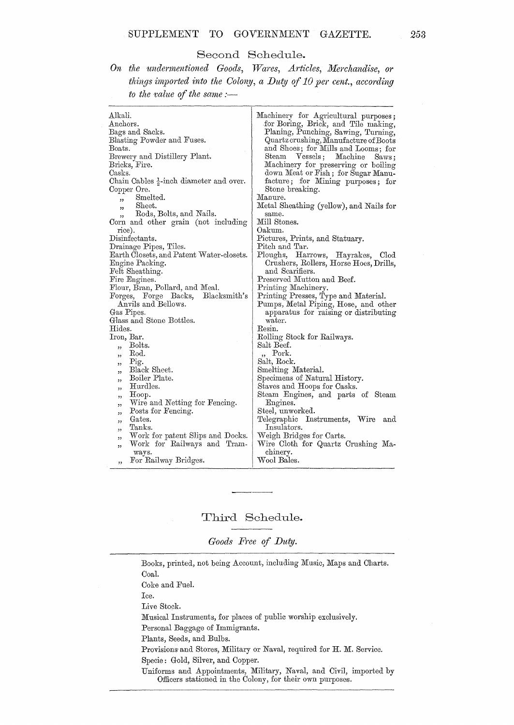#### Second Schedule.

On the undermentioned Goods, Wares, Articles, Merchandise, or things imported into the Colony, a Duty of 10 per cent., according to the value of the same :-

| Alkali.<br>Anchors.<br>Bags and Sacks.<br>Blasting Powder and Fuses.<br>Boats.<br>Brewery and Distillery Plant.<br>Bricks, Fire.<br>Casks.<br>Chain Cables $\frac{1}{2}$ -inch diameter and over.<br>Copper Ore.<br>Smelted.<br>$\overline{\phantom{a}}$<br>Sheet.<br>,<br>Rods, Bolts, and Nails.<br>Corn and other grain (not including<br>rice).<br>Disinfectants.<br>Drainage Pipes, Tiles.<br>Earth Closets, and Patent Water-closets.<br>Engine Packing.<br>Felt Sheathing.<br>Fire Engines.<br>Flour, Bran, Pollard, and Meal.<br>Forges, Forge Backs,<br>Blacksmith's<br>Anvils and Bellows.<br>Gas Pipes.<br>Glass and Stone Bottles.<br>Hides. | Machinery for Agricultural purposes;<br>for Boring, Brick, and Tile making,<br>Planing, Punching, Sawing, Turning,<br>Quartz crushing, Manufacture of Boots<br>and Shoes; for Mills and Looms; for<br>Steam Vessels;<br>Machine<br>$saws$ :<br>Machinery for preserving or boiling<br>down Meat or Fish; for Sugar Manu-<br>facture; for Mining purposes; for<br>Stone breaking.<br>Manure.<br>Metal Sheathing (yellow), and Nails for<br>same.<br>Mill Stones.<br>Oakum.<br>Pictures, Prints, and Statuary.<br>Pitch and Tar.<br>Ploughs, Harrows, Hayrakes, Clod<br>Crushers, Rollers, Horse Hoes, Drills,<br>and Scarifiers.<br>Preserved Mutton and Beef.<br>Printing Machinery.<br>Printing Presses, Type and Material.<br>Pumps, Metal Piping, Hose, and other<br>apparatus for raising or distributing<br>water.<br>Resin. |
|----------------------------------------------------------------------------------------------------------------------------------------------------------------------------------------------------------------------------------------------------------------------------------------------------------------------------------------------------------------------------------------------------------------------------------------------------------------------------------------------------------------------------------------------------------------------------------------------------------------------------------------------------------|-----------------------------------------------------------------------------------------------------------------------------------------------------------------------------------------------------------------------------------------------------------------------------------------------------------------------------------------------------------------------------------------------------------------------------------------------------------------------------------------------------------------------------------------------------------------------------------------------------------------------------------------------------------------------------------------------------------------------------------------------------------------------------------------------------------------------------------|
|                                                                                                                                                                                                                                                                                                                                                                                                                                                                                                                                                                                                                                                          |                                                                                                                                                                                                                                                                                                                                                                                                                                                                                                                                                                                                                                                                                                                                                                                                                                   |
| Iron, Bar.                                                                                                                                                                                                                                                                                                                                                                                                                                                                                                                                                                                                                                               | Rolling Stock for Railways.                                                                                                                                                                                                                                                                                                                                                                                                                                                                                                                                                                                                                                                                                                                                                                                                       |
| Bolts.                                                                                                                                                                                                                                                                                                                                                                                                                                                                                                                                                                                                                                                   | Salt Beef.                                                                                                                                                                                                                                                                                                                                                                                                                                                                                                                                                                                                                                                                                                                                                                                                                        |
| ,,<br>Rod.                                                                                                                                                                                                                                                                                                                                                                                                                                                                                                                                                                                                                                               | " Pork.                                                                                                                                                                                                                                                                                                                                                                                                                                                                                                                                                                                                                                                                                                                                                                                                                           |
| , 2<br>Pig.                                                                                                                                                                                                                                                                                                                                                                                                                                                                                                                                                                                                                                              | Salt, Rock.                                                                                                                                                                                                                                                                                                                                                                                                                                                                                                                                                                                                                                                                                                                                                                                                                       |
| "<br>Black Sheet.<br>, 2, 3                                                                                                                                                                                                                                                                                                                                                                                                                                                                                                                                                                                                                              | Smelting Material.                                                                                                                                                                                                                                                                                                                                                                                                                                                                                                                                                                                                                                                                                                                                                                                                                |
| Boiler Plate.<br>,,                                                                                                                                                                                                                                                                                                                                                                                                                                                                                                                                                                                                                                      | Specimens of Natural History.                                                                                                                                                                                                                                                                                                                                                                                                                                                                                                                                                                                                                                                                                                                                                                                                     |
| Hurdles.<br>"                                                                                                                                                                                                                                                                                                                                                                                                                                                                                                                                                                                                                                            | Staves and Hoops for Casks.                                                                                                                                                                                                                                                                                                                                                                                                                                                                                                                                                                                                                                                                                                                                                                                                       |
| Hoop.<br>"                                                                                                                                                                                                                                                                                                                                                                                                                                                                                                                                                                                                                                               | Steam Engines, and parts of Steam                                                                                                                                                                                                                                                                                                                                                                                                                                                                                                                                                                                                                                                                                                                                                                                                 |
| Wire and Netting for Fencing.<br>"                                                                                                                                                                                                                                                                                                                                                                                                                                                                                                                                                                                                                       | Engines.                                                                                                                                                                                                                                                                                                                                                                                                                                                                                                                                                                                                                                                                                                                                                                                                                          |
| Posts for Fencing.<br>,,                                                                                                                                                                                                                                                                                                                                                                                                                                                                                                                                                                                                                                 | Steel, unworked.                                                                                                                                                                                                                                                                                                                                                                                                                                                                                                                                                                                                                                                                                                                                                                                                                  |
| Gates.<br>,,                                                                                                                                                                                                                                                                                                                                                                                                                                                                                                                                                                                                                                             | Telegraphic Instruments, Wire<br>and                                                                                                                                                                                                                                                                                                                                                                                                                                                                                                                                                                                                                                                                                                                                                                                              |
| Tanks.<br>,,                                                                                                                                                                                                                                                                                                                                                                                                                                                                                                                                                                                                                                             | Insulators.                                                                                                                                                                                                                                                                                                                                                                                                                                                                                                                                                                                                                                                                                                                                                                                                                       |
| Work for patent Slips and Docks.<br>,                                                                                                                                                                                                                                                                                                                                                                                                                                                                                                                                                                                                                    | Weigh Bridges for Carts.                                                                                                                                                                                                                                                                                                                                                                                                                                                                                                                                                                                                                                                                                                                                                                                                          |
| Work for Railways and Tram-<br>52                                                                                                                                                                                                                                                                                                                                                                                                                                                                                                                                                                                                                        | Wire Cloth for Quartz Crushing Ma-                                                                                                                                                                                                                                                                                                                                                                                                                                                                                                                                                                                                                                                                                                                                                                                                |
| ways.                                                                                                                                                                                                                                                                                                                                                                                                                                                                                                                                                                                                                                                    | chinery.                                                                                                                                                                                                                                                                                                                                                                                                                                                                                                                                                                                                                                                                                                                                                                                                                          |
| For Railway Bridges.<br>,,                                                                                                                                                                                                                                                                                                                                                                                                                                                                                                                                                                                                                               | Wool Bales.                                                                                                                                                                                                                                                                                                                                                                                                                                                                                                                                                                                                                                                                                                                                                                                                                       |

## Third Schedule.

Goods Free of Duty.

Books, printed, not being Account, including Music, Maps and Charts. Coal. Coke and Fuel. Ice. Live Stock. Musical Instruments, for places of public worship exclusively. Personal Baggage of Immigrants. Plants, Seeds, and Bulbs. Provisions and Stores, Military or Naval, required for H. M. Service. Specie: Gold, Silver, and Copper. Uniforms and Appointments, Military, Naval, and Civil, imported by Officers stationed in the Colony, for their own purposes.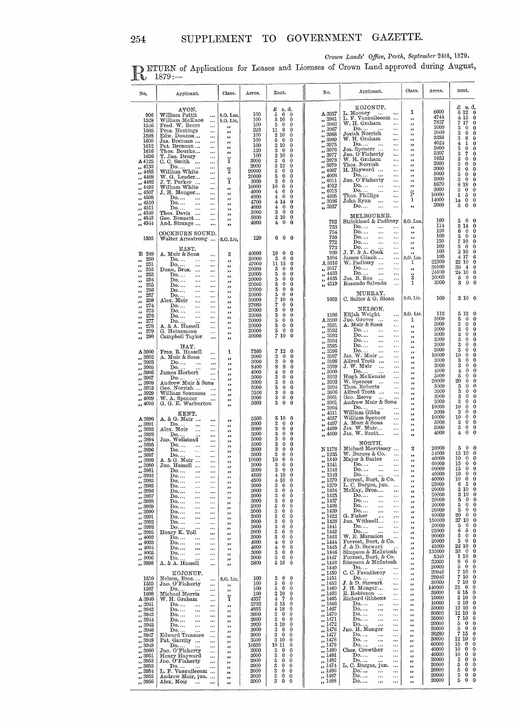Crown Lands' Office, Perth, September 24th, 1879.<br>
1879.<br>
1879.<br>
1987 - Crown Land approved during August,

| No.                                                                                                                                                                                                                                                                                    | Applicant.                                                                                                                                                                                                                                                                                                                                                                                                                                                                                                                                                                                                                                               | Class.                                                                                                                                                                                                                                                                                      | Acres.                                                                                                                                                                                        | Rent.                                                                                                                                                                                                                                                                                                                                                                                                                                                                                                                                                                                                                                                                                             | No.                                                                                                                                                                                                                                                                                                                                                                                            | Applicant.                                                                                                                                                                                                                                                                                                                                                                                                                                                                                                                                                                                                                                                                             | Class.                                                                                                                                                                                                                                                           | Acres.                                                                                                                                                                                                                          | nent.                                                                                                                                                                                                                                                                                                                                                                                                                                                                                                                                                                                      |
|----------------------------------------------------------------------------------------------------------------------------------------------------------------------------------------------------------------------------------------------------------------------------------------|----------------------------------------------------------------------------------------------------------------------------------------------------------------------------------------------------------------------------------------------------------------------------------------------------------------------------------------------------------------------------------------------------------------------------------------------------------------------------------------------------------------------------------------------------------------------------------------------------------------------------------------------------------|---------------------------------------------------------------------------------------------------------------------------------------------------------------------------------------------------------------------------------------------------------------------------------------------|-----------------------------------------------------------------------------------------------------------------------------------------------------------------------------------------------|---------------------------------------------------------------------------------------------------------------------------------------------------------------------------------------------------------------------------------------------------------------------------------------------------------------------------------------------------------------------------------------------------------------------------------------------------------------------------------------------------------------------------------------------------------------------------------------------------------------------------------------------------------------------------------------------------|------------------------------------------------------------------------------------------------------------------------------------------------------------------------------------------------------------------------------------------------------------------------------------------------------------------------------------------------------------------------------------------------|----------------------------------------------------------------------------------------------------------------------------------------------------------------------------------------------------------------------------------------------------------------------------------------------------------------------------------------------------------------------------------------------------------------------------------------------------------------------------------------------------------------------------------------------------------------------------------------------------------------------------------------------------------------------------------------|------------------------------------------------------------------------------------------------------------------------------------------------------------------------------------------------------------------------------------------------------------------|---------------------------------------------------------------------------------------------------------------------------------------------------------------------------------------------------------------------------------|--------------------------------------------------------------------------------------------------------------------------------------------------------------------------------------------------------------------------------------------------------------------------------------------------------------------------------------------------------------------------------------------------------------------------------------------------------------------------------------------------------------------------------------------------------------------------------------------|
| 906<br>1528<br>1546<br>1585<br>1598<br>1600<br>1612<br>1616<br>1626<br>A4125<br>,, 4133<br>,, 4485<br>,, 4488<br>,, 4492<br>,, 4493<br>,, 4507<br>,, 4508<br>" 4510<br>,, 4511                                                                                                         | AVON,<br>William Pettit<br>$\ddotsc$<br>William McKnoe<br>$\ddotsc$<br>Fred. W. Beere<br>$\ddotsc$<br>Fras. Hastings<br>$\ddotsc$<br>Edw. Doncon<br>$\cdots$<br>Jas. Brennan<br>$\cdots$<br>Pat. Brennan<br>$\cdots$<br>Thos. Bourke<br>$\cdots$<br>T. Jno. Drury<br>$\cdots$<br>C. C. Smith<br>$\cdots$<br>Do.<br>$\cdots$<br>William White<br>$\cdots$<br>W. G. Leeder<br>$\cdots$<br>J. T. Parker<br>$\ddotsc$<br>William White<br>$\cdots$<br>J. H. Monger<br>$\cdots$<br>Do<br><br>$\cdots$<br>Do.<br><br>$\ldots$<br>Do.<br><br>                                                                                                                   | S.O. Lea.<br>S.O. Lic.<br>,,<br>,,<br>,,<br>,,<br>,,<br>,,<br>ï<br>$\frac{3}{2}$<br>ï<br>,,<br>33<br>,,<br>,,<br>33                                                                                                                                                                         | 100<br>100<br>100<br>228<br>100<br>100<br>100<br>120<br>100<br>3000<br>3000<br>20000<br>20000<br>3000<br>10000<br>4000<br>4000<br>4700<br>4000                                                | £<br>s. d.<br>5<br>$0\quad 0$<br>5 10<br>$\theta$<br>5<br>$\overline{0}$<br>0<br>11 8<br>$\mathbf 0$<br>$2\,10$<br>0<br>5<br>$\overline{0}$<br>$\mathbf 0$<br>210<br>0<br>30<br>0<br>2 10<br>0<br>3<br>$\bf{0}$<br>$\bf{0}$<br>3 12<br>0<br>5<br>$\overline{0}$<br>0<br>$\frac{5}{3}$<br>$\mathbf 0$<br>0<br>0<br>0<br>10<br>0<br>0<br>4<br>0<br>$\mathbf 0$<br>4<br>0<br>0<br>414<br>$\bf{0}$<br>4<br>$\overline{0}$<br>$\bf{0}$                                                                                                                                                                                                                                                                 | A 3957<br>,, 3961<br>3962<br>3967<br>$\overline{\mathbf{z}}$<br>3968<br>$\overline{\mathbf{z}}$<br>3969<br>,,<br>3975<br>$^{\prime}$<br>3976<br>$^{\tiny{1}}$<br>3977<br>$\bullet$<br>3978<br>,,<br>3979<br>,,<br>4007<br>$^{\tiny{\text{33}}}$<br>4003<br>$\bullet$<br>4011<br>$^{\tiny{33}}$<br>4012<br>$^{\prime}$<br>4013<br>4505<br>$^{\prime}$<br>3936<br>$^{\tiny{\text{}}}$<br>,, 3937 | KOJONUP.<br>L. Mooney<br>L. F. Vanzuilecom<br>W. H. Graham<br><br>Do.<br><br>Josiah Norrish<br>$\cdots$<br>W. H. Graham<br>$\cdots$<br>Do<br>$\cdots$<br>Jos. Spencer<br>$\cdots$<br>$_{\rm Jno.}$ O'Flaherty<br>$\cdots$<br>W. H. Graham<br>$\cdots$<br>Thos. Norrish<br>$\cdots$<br>H. Hayward<br>$\cdots$<br>Do<br>$\cdots$<br>Jno. O'Flaherty<br>$\cdots$<br>Do.<br>$\cdots$<br>$\ddotsc$<br>Do.<br>$\ldots$<br>Thos. Phillips<br>$\ddotsc$<br>John Ryan<br>$\ddots$<br>$\mathbf{Do}$<br>$\ddotsc$<br>$\ddotsc$                                                                                                                                                                    | 1<br>,,<br>,,<br>$^{12}$<br>,,<br>,,<br>$^{\bullet}$<br>$^{12}$<br>$\bullet$<br>$^{32}$<br>$\bullet$<br>$^{\bullet}$<br>, 1<br>$^{\circ}$<br>,,<br>Ë<br>1<br>,,                                                                                                  | 6600<br>4744<br>7837<br>3000<br>3000<br>3356<br>4024<br>3000<br>3307<br>1952<br>3000<br>3000<br>5000<br>3000<br>8870<br>3000<br>10000<br>14000<br>3000                                                                          | £ s.d.<br>6120<br>415<br>$\bf{0}$<br>7<br>17<br>$\bf{0}$<br>3<br>$\bf{0}$<br>0<br>3<br>$\mathbf 0$<br>0<br>3<br>8<br>$\theta$<br>1<br>4<br>0<br>3<br>0<br>0<br>7<br>3<br>0<br>$\pmb{0}$<br>$\overline{\mathbf{2}}$<br>$\bf{0}$<br>3<br>$\bf{0}$<br>0<br>$\bf{0}$<br>3<br>0<br>$\bf{0}$<br>5<br>0<br>$\mathbf 0$<br>3<br>$\bf{0}$<br>18<br>8<br>$\theta$<br>$\bf{0}$<br>3<br>$\bf{0}$<br>5<br>$\mathbf 0$<br>1<br>0<br>14<br>$\theta$<br>$\bf{0}$<br>$\theta$<br>3                                                                                                                          |
| ,, 4540<br>,, 4543<br>,, $4544$<br>1593                                                                                                                                                                                                                                                | Thos. Davis<br>$\cdots$<br>Geo. Bennett<br>$\cdots$<br>And. Strange<br><br>COCKBURN SOUND.<br>Walter Armstrong                                                                                                                                                                                                                                                                                                                                                                                                                                                                                                                                           | ,,<br>,,<br>93<br>S.O. Lic.                                                                                                                                                                                                                                                                 | 3000<br>5000<br>4000<br>120                                                                                                                                                                   | 3<br>$\mathbf{0}$<br>0<br>210<br>0<br>40<br>$\bf{0}$<br>6<br>$0\quad 0$                                                                                                                                                                                                                                                                                                                                                                                                                                                                                                                                                                                                                           | 752<br>753<br>754<br>755<br>772                                                                                                                                                                                                                                                                                                                                                                | MELBOURNE.<br>Strickland & Padbury<br>Do.<br>$\ddotsc$<br>$\ddotsc$<br>Do.<br>$\ddotsc$<br>$\ddotsc$<br>Do.<br>$\ddotsc$<br>$\ddotsc$<br>Do.<br>$\ldots$<br>$\ldots$                                                                                                                                                                                                                                                                                                                                                                                                                                                                                                                   | S.O. Lea.<br>,,<br>$\bullet$<br>,,<br>,,                                                                                                                                                                                                                         | 100<br>114<br>120<br>100<br>150                                                                                                                                                                                                 | $\bf{0}$<br>$\theta$<br>5<br>5 14<br>$\bf{0}$<br>0<br>$\mathbf 0$<br>6<br>5<br>$\mathbf 0$<br>$\mathbf 0$<br>7 10<br>0                                                                                                                                                                                                                                                                                                                                                                                                                                                                     |
| E 249<br>250<br>,,<br>251<br>33<br>252<br>,,<br>253<br>,,<br>254<br>,,<br>255<br>,,<br>256                                                                                                                                                                                             | EAST.<br>A. Muir & Sons<br>$\cdots$<br>Do<br>$\ddotsc$<br>$\cdots$<br>Do.<br>$\cdots$<br>$\cdots$<br>Dunn, Bros.<br>$\cdots$<br>Do<br>$\cdots$<br>$\cdots$<br>Do<br><br>$\ddotsc$<br>Do,<br>$\cdots$<br>$\cdots$<br>Do                                                                                                                                                                                                                                                                                                                                                                                                                                   | 2<br>,,<br>,,<br>99<br>,,<br>,,<br>,,                                                                                                                                                                                                                                                       | 40000<br>20000<br>47000<br>20000<br>20000<br>20000<br>20000<br>20000                                                                                                                          | $\mathbf{0}$<br>10<br>0<br>5<br>$\mathbf{0}$<br>0<br>11 15<br>$\Omega$<br>5<br>$\mathbf{0}$<br>0<br>5<br>$\bf{0}$<br>0<br>5<br>$\mathbf{0}$<br>0<br>5<br>$\bf{0}$<br>0<br>5<br>$\mathbf{0}$<br>$\theta$                                                                                                                                                                                                                                                                                                                                                                                                                                                                                           | 773<br>920<br>1604<br>A 3616<br>,, 3617<br>,, 4433<br>,, 4435<br>,, 4519                                                                                                                                                                                                                                                                                                                       | Do<br>$\ddotsc$<br>J. F. & A. Cook<br>$\ddotsc$<br>James Clinch<br>$\ddotsc$<br>W. Padbury<br>$\ddotsc$<br>Do.<br>$\cdots$<br>$\ldots$<br>Do.<br>$\ddotsc$<br>$\ddotsc$<br>Jas. B. Roe<br>$\ddotsc$<br>Rosendo Salvado                                                                                                                                                                                                                                                                                                                                                                                                                                                                 | $^{\prime}$<br>,<br>S.O. Lic.<br>ı<br>$\mathbf{r}$<br>$\frac{3}{2}$<br>1                                                                                                                                                                                         | 100<br>100<br>195<br>22500<br>30160<br>24500<br>20000<br>3000                                                                                                                                                                   | $\mathbf 0$<br>5<br>0<br>210<br>0<br>4 17<br>6<br>22 10<br>$\mathbf 0$<br>30<br>$\frac{4}{3}$<br>$\bf{0}$<br>24 10<br>$\theta$<br>5<br>$^{0}$<br>$\bf{0}$<br>3<br>$\bf{0}$                                                                                                                                                                                                                                                                                                                                                                                                                 |
| ,,<br>257<br>,,<br>259<br>,,<br>274                                                                                                                                                                                                                                                    | <br><br>Do<br>$\cdots$<br><br>Alex, Moir<br>$\cdots$<br><br>Do                                                                                                                                                                                                                                                                                                                                                                                                                                                                                                                                                                                           | 33<br>,,<br>,,                                                                                                                                                                                                                                                                              | 20000<br>30000<br>27880                                                                                                                                                                       | 5775<br>$\mathbf 0$<br>0<br>10<br>$\theta$<br>$\mathbf{0}$<br>0                                                                                                                                                                                                                                                                                                                                                                                                                                                                                                                                                                                                                                   | 1602                                                                                                                                                                                                                                                                                                                                                                                           | MURRAY.<br>C. Salter & G. Sloan                                                                                                                                                                                                                                                                                                                                                                                                                                                                                                                                                                                                                                                        | S.O. Lic.                                                                                                                                                                                                                                                        | 100                                                                                                                                                                                                                             | 2100                                                                                                                                                                                                                                                                                                                                                                                                                                                                                                                                                                                       |
| ,,<br>275<br>,,<br>276<br>,,<br>277<br>,,<br>278<br>,,<br>279<br>,,<br>280<br>,,                                                                                                                                                                                                       | $\cdots$<br>$\ddotsc$<br>Do<br>$\ddotsc$<br>$\cdots$<br>Do<br>$\ddotsc$<br>$\cdots$<br>Do. ,<br>$\ddotsc$<br>A. & A. Hassell<br>$\cdots$<br>G. Heinzmann<br>$\cdots$<br>Campbell Taylor<br><br>HAY.                                                                                                                                                                                                                                                                                                                                                                                                                                                      | ,,<br>,,<br>,,<br>,,<br>,,<br>,,<br>,,                                                                                                                                                                                                                                                      | 20000<br>20000<br>20000<br>20000<br>20000<br>30000                                                                                                                                            | $\mathbf 0$<br>$\bf{0}$<br>5<br>$\mathbf{0}$<br>$\mathbf 0$<br>5<br>$\mathbf 0$<br>$\bf{0}$<br>5<br>$\theta$<br>0<br>5<br>$\overline{0}$<br>$\mathbf 0$<br>7 10<br>0                                                                                                                                                                                                                                                                                                                                                                                                                                                                                                                              | 1596<br>A 3590<br>,, 3591<br>,, 3592<br>., 3593<br>3594<br>$, \,$<br>3595<br>,,                                                                                                                                                                                                                                                                                                                | NELSON.<br>Elijah Wright<br>$\ddotsc$<br>Jno. Grover<br>$\ddotsc$<br>A. Muir & Sons<br>$\cdots$<br>Do<br>$\cdots$<br>$\cdots$<br>Do.<br><br>$\cdots$<br>Do.<br>$\ddotsc$<br>$\cdots$<br>Do.<br>$\ddotsc$<br>$\ddotsc$                                                                                                                                                                                                                                                                                                                                                                                                                                                                  | S.O. Lic.<br>1<br>$\boldsymbol{\mathcal{D}}$<br>,,<br>,,<br>$^{\prime}$<br>$\bullet$                                                                                                                                                                             | 112<br>5000<br>3000<br>3000<br>3000<br>3000<br>3000                                                                                                                                                                             | 5 12<br>$\theta$<br>5<br>$\bf{0}$<br>0<br>3<br>$\mathbf{0}$<br>0<br>3<br>0<br>$\bf{0}$<br>3<br>0<br>$\bf{0}$<br>3<br>$\bf{0}$<br>0<br>3<br>0<br>0                                                                                                                                                                                                                                                                                                                                                                                                                                          |
| A 3900<br>,, 3902<br>$\frac{3903}{1000}$<br>$\frac{3905}{10000}$<br>$\frac{1}{1}$ , 3908<br>$\frac{1}{2}$ , 3929<br>,, 4009<br>,, 4010                                                                                                                                                 | Fras. R. Hassell<br><br>A. Muir & Sons<br>$\cdots$<br>Do.<br>$\cdots$<br>$\cdots$<br>Do.<br>$\ddotsc$<br><br>James Herbert<br><br>Do<br>Andrew Muir & Sons<br>Geo. Norrish<br>$\cdots$<br>William Sounness<br>W. A. Spencer<br>G. G. E. Warburton<br>KENT.                                                                                                                                                                                                                                                                                                                                                                                               | 1<br>,,<br>,,<br>,,<br>,,<br>$, \,$<br>,,<br>,,<br>$\overline{\phantom{a}}$<br>,,<br>$^{\prime}$                                                                                                                                                                                            | 7560<br>3000<br>3000<br>8400<br>4000<br>3000<br>3000<br>5000<br>3526<br>3000<br>3000                                                                                                          | 7 12<br>$\Omega$<br>$\bf{0}$<br>3<br>$\bf{0}$<br>3<br>$\bf{0}$<br>0<br>8<br>8<br>$\mathbf 0$<br>4<br>$\bf{0}$<br>$\mathbf 0$<br>3<br>$\mathbf{0}$<br>$\bf{0}$<br>3<br>$\bf{0}$<br>0<br>5<br>$\mathbf{0}$<br>0<br>3<br>6<br>$\mathbf{0}$<br>3<br>0<br>$\bf{0}$<br>3<br>$\mathbf 0$<br>$\bf{0}$                                                                                                                                                                                                                                                                                                                                                                                                     | 3596<br>وو<br>3597<br>$\overline{\phantom{a}}$<br>,, 3598<br>3599<br>5.5<br>3600<br>$\overline{\mathbf{z}}$<br>3602<br>,,<br>,, 3603<br>,, 3604<br>,, 3606<br>,, 3661<br>3901<br>$\cdot$<br>, 3904<br>,, 4311                                                                                                                                                                                  | Do<br>Jas. W. Muir<br>Alfred Trott<br>$\ddotsc$<br>$\ddotsc$<br>$\ddotsc$<br>J. W. Muir<br>$\ddotsc$<br>$\ddotsc$<br>$\mathbf{D_0}$<br>$\ddotsc$<br>Hugh McKenzie<br>$\ddotsc$<br>W. Spencer<br>$\cdots$<br>$\ddotsc$<br>Thos. Roberts<br>$\ddotsc$<br>Alfred Trott<br>$\cdots$<br>Geo. Reeve<br><br>Andrew Muir & Sons<br>Do<br>William Gibbs<br>                                                                                                                                                                                                                                                                                                                                     | ,,<br>$\bullet$<br>$^{\prime}$<br>,,<br>$\bullet$<br>,,<br>,,<br>,,<br>,,<br>5.5<br>$, \,$<br>$^{\prime}$<br>$^{\tiny{\text{11}}}$                                                                                                                               | 3000<br>10000<br>3000<br>3000<br>4000<br>5000<br>20000<br>5000<br>3000<br>3000<br>3000<br>10000<br>3000                                                                                                                         | 3<br>0<br>0<br>$\bf{0}$<br>10<br>$\Omega$<br>3<br>$\mathbf 0$<br>$\bf{0}$<br>3<br>0<br>$^{\rm o}$<br>$\bf{0}$<br>4<br>∩<br>5<br>0<br>$\bf{0}$<br>20<br>$\bf{0}$<br>$\bf{0}$<br>5<br>0<br>$\Omega$<br>3<br>$\bf{0}$<br>$\bf{0}$<br>3<br>$\bf{0}$<br>0<br>3<br>0<br>$\bf{0}$<br>10<br>0<br>0<br>3<br>0<br>0                                                                                                                                                                                                                                                                                  |
| A 3890<br>,, 3891<br>,, 3892<br>,, 3893<br>,, 3894                                                                                                                                                                                                                                     | A. & G. Moir<br>$\cdots$<br>Do<br><br>$\ddotsc$<br>Alex. Moir<br>$\ddotsc$<br>$\cdots$<br>$\mathbf{Do} \dots$<br>$\cdots$<br>Jno. Wellstead<br>$\cdots$                                                                                                                                                                                                                                                                                                                                                                                                                                                                                                  | ,,<br>,,<br>,<br>53.<br>$^{\bullet}$                                                                                                                                                                                                                                                        | 5500<br>3000<br>3000<br>3000<br>3000                                                                                                                                                          | 5 10<br>$\mathbf 0$<br>$\mathbf 0$<br>3<br>$\bf{0}$<br>3<br>0<br>$\bf{0}$<br>3<br>$\mathbf{0}$<br>$\bf{0}$<br>3<br>$\bf{0}$<br>$\mathbf{0}$<br>3<br>$\mathbf 0$<br>$\mathbf{0}$                                                                                                                                                                                                                                                                                                                                                                                                                                                                                                                   | ,, 4357<br>,, 4497<br>,, 4499<br>,, 4500                                                                                                                                                                                                                                                                                                                                                       | William Spencer<br>$\ddotsc$<br>A. Muir & Sons<br>$\ddotsc$<br>Jas. W. Muir<br>$\ddotsc$<br>Jas. W. Scott<br><br>NORTH.                                                                                                                                                                                                                                                                                                                                                                                                                                                                                                                                                                | $^{\tiny{33}}$<br>$^{\tiny{\text{11}}}$<br>$^{12}$<br>$\bullet$                                                                                                                                                                                                  | 10000<br>3000<br>3000<br>4000                                                                                                                                                                                                   | 0<br>10<br>$\Omega$<br>3<br>0<br>0<br>3<br>0<br>0<br>0<br>4<br>0                                                                                                                                                                                                                                                                                                                                                                                                                                                                                                                           |
| ,, 3895<br>,, 3896<br>,, 3897<br>,, 3899<br>,, 3980<br>$\frac{1}{1}$ , 3982<br>$\frac{2}{1}$ , 3983<br>, 3985<br>,, 3986<br>$\frac{1}{1}$ , 3987<br>,, 3989<br>,, 3990<br>,, 3991<br>,, 3992<br>,, 3993<br>,, 3995<br>,, 4002<br>,, 4003<br>,, 4004<br>,, 4005<br>$\frac{1}{1}$ , 4006 | $\mathbf{Do}, \ldots$<br><br>$\cdots$<br>Do.<br>Googl<br>$\ldots$<br>Do<br>$\ddotsc$<br>$\cdots$<br>A. & G. Moir<br>$\cdots$<br>Jno. Hassell<br>$\ddotsc$<br><br>Do<br><br><br>Do<br><br>$\cdots$<br>Do.<br><br><br>Do<br>$\cdots$<br>$\cdots$<br>$\mathbf{Do}$<br>$\cdots$<br>$\cdots$<br>Do<br>$\cdots$<br>$\cdots$<br>Do.<br><br>$\cdots$<br>Do.<br>$\cdots$<br>$\cdots$<br>Do.<br><br>$\ldots$<br>$\mathbf{Do} \dots$<br><br>$\ldots$<br>Do<br><br>$\ldots$<br>Do<br><br>Henry K. Toll<br>$\cdots$<br>Do<br><br><br>Do.<br><br><br>$\mathbf{D_0}$<br><br>$\cdots$<br>$\mathbb{D}$ o<br><br>$\ldots$<br>Do<br>$\ldots$<br>A. & A. Hassell<br>$\ldots$ | $\overline{\mathbf{r}}$<br>,,<br>33<br>33<br>,,<br>,,<br>,,<br>$\overline{\mathbf{z}}$<br>,,<br>,,<br>,,<br>,,<br>$^{\bullet}$<br>,,<br>,,<br>,,<br>$\overline{\phantom{a}}$<br>,,<br>,,<br>,,<br>,,<br>$\overline{\mathbf{r}}$<br>$\bullet$<br>,,                                          | 3000<br>3000<br>3000<br>10000<br>3000<br>3000<br>4860<br>4500<br>3000<br>3000<br>3000<br>3000<br>5000<br>3000<br>3000<br>3000<br>3000<br>3000<br>3000<br>4000<br>4000<br>3000<br>3000<br>5800 | 3<br>$\bf{0}$<br>$\bf{0}$<br>$\boldsymbol{3}$<br>$0\quad 0$<br>10<br>$\mathbf 0$<br>$\bf{0}$<br>3<br>0<br>0<br>$3\quad 0$<br>$\mathbf{0}$<br>4 18<br>$\theta$<br>4 10<br>$\mathbf{0}$<br>3<br>$\bf{0}$<br>$\mathbf 0$<br>the cocococococococo<br>$\bf{0}$<br>$\bf{0}$<br>$\mathbf 0$<br>0<br>$\bf{0}$<br>$\bf{0}$<br>$\bf{0}$<br>$\bf{0}$<br>$\mathbf{0}$<br>$\bf{0}$<br>$\mathbf 0$<br>$\mathbf 0$<br>$\mathbf 0$<br>$\mathbf 0$<br>$\bf{0}$<br>$\mathbf 0$<br>$\mathbf{0}$<br>$\mathbf{0}$<br>$\mathbf 0$<br>$\bf{0}$<br>$\mathbf 0$<br>$\mathbf 0$<br>$\mathbf 0$<br>$\bf{0}$<br>$\begin{smallmatrix} 3 & 0 \ 3 & 0 \ 3 & 0 \ 5 & 16 \end{smallmatrix}$<br>$\bf{0}$<br>$\bf{0}$<br>$\mathbf 0$ | N 1178<br>,, 1235<br>,, 1340<br>1341<br>99<br>1342<br>33<br>,, 1343<br>,, 1370<br>,, 1379<br>, 1424<br>,, 1425<br>,, 1437<br>,, 1438<br>,, 1439<br>,, 1422<br>,, 1428<br>,, 1441<br>,, 1442<br>,, 1443<br>,, 1444<br>,, 1445<br>,, 1446<br>,, 1447<br>,, 1448<br>,, 1449                                                                                                                       | Michael Morrissey<br>W. Burges & Co.<br><br>Major & Barlee<br>$\ddotsc$<br>…טע.<br>Do.<br>$\ddotsc$<br><br>$\mathbb{D}$ o<br>Forrest, Burt, & Co.<br>L. C. Burges, jun.<br>McKay, Bros<br>٠.,<br>$D_0$<br>$\cdots$<br>$\ddotsc$<br>Do.<br>$\ddotsc$<br>Do.<br><br>$\ddotsc$<br>Do.<br>$\ddotsc$<br>G. Fisher<br>باوي<br>Jno. Withnell<br>$\ddotsc$<br>${\rm Do.}$<br>$\cdots$<br>$\ddotsc$<br>$\mathbb{D}$ o.<br>$\ddotsc$<br>W. E. Marmion<br><br>Forrest, Burt, & Co.<br>J. & D. Stewart<br>Simpson & McIntosh<br>Forrest, Burt, & Co.<br>Simpson & McIntosh<br>Do                                                                                                                   | $^{2}$<br>$\bullet$<br>$\overline{\mathbf{r}}$<br>$^{\tiny{\text{T}}}$<br>$^{\circ}$<br>$^{\prime\prime}$<br>$^{\prime}$<br>,,<br>,,<br>,,<br>دد<br>,,<br>$^{\prime}$<br>,,<br>,,<br>,,<br>,,<br>$^{\ast}$<br>,,<br>$\pmb{\vphantom{1}}$<br>,,<br>,,<br>,,<br>,, | 20000<br>54000<br>40000<br>60000<br>60000<br>40000<br>40000<br>25000<br>20000<br>20000<br>20000<br>20000<br>20000<br>80000<br>150000<br>20000<br>25000<br>20000<br>20000<br>45000<br>132000<br>-5340<br>32000<br>20000<br>29946 | 5<br>$0\quad 0$<br>13 10 0<br>10<br>$0\quad 0$<br>15<br>$\bf{0}$<br>$\bf{0}$<br>$\bf{0}$<br>15<br>$\bf{0}$<br>$\mathbf 0$<br>10<br>$\bf{0}$<br>10<br>$\bf{0}$<br>5<br>6<br>$\mathbf 0$<br>$^{2}$<br>10<br>$\bf{0}$<br>2<br>10<br>0<br>5<br>$\bf{0}$<br>0<br>$\bf{0}$<br>5<br>0<br>$\bf{0}$<br>5<br>$\mathbf 0$<br>20<br>$\bf{0}$<br>0<br>37 10<br>0<br>$\bf{0}$<br>5<br>0<br>5<br>6<br>0<br>5<br>$\mathbf 0$<br>0<br>$\bf{0}$<br>5<br>$\bf{0}$<br>22 10<br>$\bf{0}$<br>33<br>$\mathbf{0}$<br>0<br>1<br>10<br>0<br>8<br>$\bf{0}$<br>$\bf{0}$<br>$\bf{0}$<br>5<br>0<br>10<br>7<br>$^{\circ}$ |
| 1510<br>1555<br>1597<br>1608<br>A 3940<br>,, 3941<br>, 3942<br>$\frac{1}{2}$ , 3943<br>, 3944<br>, 3945<br>, 3946<br>,, 3947<br>, 3948<br>" 3949<br>,, 3950<br>,, 3951<br>,, 3952<br>,, 3953<br>,, 3954<br>,, 3955<br>,, 3956                                                          | KOJONUP.<br>Nelson, Bros<br>$\ldots$<br>Jno. O'Flaherty<br>$\cdots$<br>$\ddotsc$<br>$\cdots$<br>W. H. Graham<br>$\ldots$<br>Do<br>$\cdots$<br><br>Do….<br><br>$\ddotsc$<br>Do.<br>$\cdots$<br>$\ddotsc$<br>Do<br><br>$\ldots$<br>Do<br><br>$\ddotsc$<br>Do<br>$\ddotsc$<br>$\ddotsc$<br>Edward Treasure<br>$\ddotsc$<br>Pat. Garrity<br>$\ddotsc$<br>$\mathbf{D_0}$<br>$\ddotsc$<br>Jno. O'Flaherty<br>$\ddotsc$<br>Henry Hayward<br>$\ldots$<br>Jno. O'Flaherty<br>$\ddotsc$<br>Do<br>$\cdots$<br>$\cdots$<br>L. F. Vanzuilecom<br>Andrew Moir, jun.<br>Alex. Moir<br>$\ddotsc$<br>$\ddotsc$                                                            | S.O. Lic.<br>$\overline{\mathbf{r}}$<br>$^{\tiny{\text{ss}}}$<br>ï<br>33<br>,,<br>$^{\rm 32}$<br>,,<br>,,<br>,,<br>$^{\prime}$<br>$^{\rm 33}$<br>$\overline{\mathbf{z}}$<br>$\ddot{\phantom{1}}$<br>$\overline{\mathbf{z}}$<br>$, \,$<br>$, \,$<br>$^{12}$<br>$\overline{\mathbf{z}}$<br>55 | 100<br>100<br>100<br>100<br>4357<br>3732<br>4853<br>3000<br>3000<br>3920<br>3000<br>3000<br>3500<br>10550<br>3000<br>3000<br>3000<br>3000<br>3000<br>3000<br>3000                             | $\bf{0}$<br>$\bf{0}$<br>5<br>5<br>5<br>$\bf{0}$<br>$\bf{0}$<br>$\bf{0}$<br>$\bf{0}$<br>210<br>$\bf{0}$<br>4<br>-7<br>$\bf{0}$<br>315<br>$\bf{0}$<br>4 18<br>$\bf{0}$<br>$\bf{0}$<br>$\begin{smallmatrix}&&5\\[-1mm]3&0\3&0\3&19\end{smallmatrix}$<br>$\mathbf 0$<br>$\mathbf 0$<br>$\begin{smallmatrix} 3 & 0 \\ 3 & 0 \end{smallmatrix}$<br>$\bf{0}$<br>$\bf{0}$<br>310<br>$\bf{0}$<br>10 11<br>$\bf{0}$<br>3<br>$\bf{0}$<br>0<br>အတွေ့ အတွေ့<br>$\bf{0}$<br>0<br>$\mathbf 0$<br>0<br>$\mathbf 0$<br>0<br>$\mathbf 0$<br>0<br>$\mathbf 0$<br>0<br>$\mathbf 0$<br>0                                                                                                                               | ,, 1450<br>,, 1451<br>, 1452<br>,, 1460<br>,, 1463<br>,, 1465<br>,, 1466<br>$\frac{1}{2}$ , 1467<br>,, 1470<br>,, 1471<br>, 1472<br>,, 1476<br>,, 1477<br>,, 1478<br>,, 1479<br>,, 1480<br>,, 1481<br>,, 1482<br>,, 1474<br>,, 1486<br>,, 1487<br>,, 1488                                                                                                                                      | C.C. Fauntleroy<br><br>Do<br>$\ldots$<br>J. & D. Stewart<br>$\ddotsc$<br>J. H. Monger<br>$\ddotsc$<br>E. Robinson<br>$\ddots$<br>Richard Gibbons<br>$\ddotsc$<br>Do<br>$\ddotsc$<br>$\ldots$<br>Do<br>$\ddotsc$<br>$\cdots$<br>Do<br>$\ddotsc$<br>$\ddotsc$<br>$D_0$<br>$\cdots$<br>$\ddotsc$<br>Do<br>$\ddotsc$<br>$\ddotsc$<br>Jno. H. Monger<br>$\ddotsc$<br>$\mathbf{Do} \dots$<br>$\ddotsc$<br><br>$\mathbf{Do} \dots$<br>$\ddotsc$<br><br>Do<br>$\ddotsc$<br><br>Chas. Crowther<br>$\ddotsc$<br>$D_0, \ldots$<br>$\ddotsc$<br>$\ddotsc$<br>Do.<br>$\ddotsc$<br><br>L. C. Burges, jun.<br>$\ddotsc$<br>Do<br>$\ddotsc$<br><br>$\mathbf{Do}$<br>$\cdots$<br><br>Do<br>$\cdots$<br> | ,,<br>,,<br>39<br>,,<br>$\bullet$<br>$^{\prime}$<br>,,<br>33<br>$^{\bullet}$<br>,,<br>,,<br>,,<br>,,<br>$^{\prime}$<br>$\bullet$<br>$\bullet$<br>$\bullet$<br>,,<br>33<br>,,<br>33<br>,,                                                                         | 29946<br>30000<br>140000<br>35000<br>10000<br>10000<br>50000<br>50000<br>30000<br>20000<br>20000<br>30280<br>50000<br>60000<br>40000<br>40000<br>20000<br>20000<br>20000<br>20000<br>20000                                      | 7<br>10<br>$^{\circ}$<br>7<br>10<br>$\bf{0}$<br>35<br>$\bf{0}$<br>0<br>8 15<br>$\bf{0}$<br>2<br>10<br>$\bf{0}$<br>2<br>10<br>$\bf{0}$<br>12<br>10<br>$\mathbf 0$<br>12 10<br>$\bf{0}$<br>7<br>10<br>$\bf{0}$<br>5<br>$\bf{0}$<br>$\mathbf 0$<br>$\bf{0}$<br>5<br>$\bf{0}$<br>7<br>15<br>$\bf{0}$<br>12<br>10<br>0<br>15<br>$\bf{0}$<br>$\bf{0}$<br>10<br>$\bf{0}$<br>$\bf{0}$<br>10<br>0<br>$\bf{0}$<br>0<br>$\theta$<br>5<br>5<br>0<br>$\bf{0}$<br>5<br>$\bf{0}$<br>$\mathbf 0$<br>5<br>0<br>$\bf{0}$<br>5<br>0<br>$\mathbf 0$                                                            |

 $\overline{\phantom{a}}$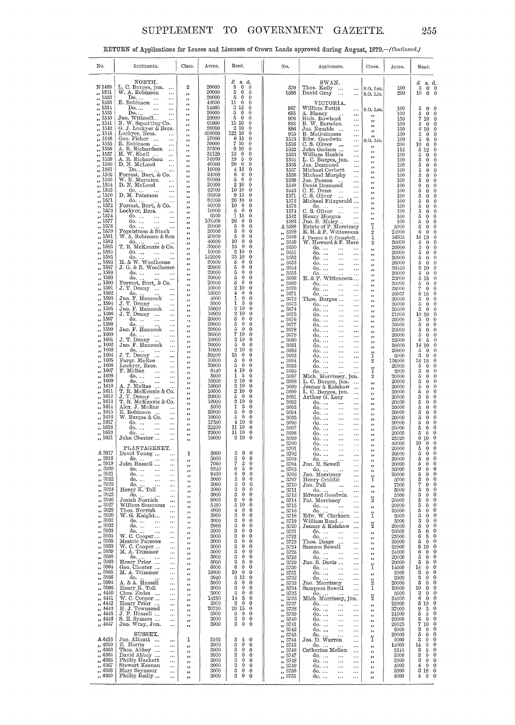# SUPPLEMENT TO GOVERNMENT GAZETTE.

RETURN of Applications for Leases and Licenses of Crown Lands approved during August, 1879.-(Continued.)

| No.                                                             | Applicants.                                                    | Class.                         | Acres.               | Rent.                                                                       | No.                                                                                                                                                                                                                                           | Applicants.                                                                               | Class.                   | Acres.         | Rent.                                                                                     |
|-----------------------------------------------------------------|----------------------------------------------------------------|--------------------------------|----------------------|-----------------------------------------------------------------------------|-----------------------------------------------------------------------------------------------------------------------------------------------------------------------------------------------------------------------------------------------|-------------------------------------------------------------------------------------------|--------------------------|----------------|-------------------------------------------------------------------------------------------|
|                                                                 |                                                                |                                |                      |                                                                             |                                                                                                                                                                                                                                               |                                                                                           |                          |                |                                                                                           |
|                                                                 | NORTH.                                                         |                                |                      | $\pounds$ s.d.                                                              |                                                                                                                                                                                                                                               | SWAN.                                                                                     |                          |                | £<br>s. d.                                                                                |
| N 1489                                                          | L. C. Burges, jun.<br>$\cdots$                                 | 2                              | 20000                | $\bf 5$<br>$\bf{0}$<br>$\theta$                                             | 579                                                                                                                                                                                                                                           | Thos. Kelly<br>$\ldots$                                                                   | S.O. Lea.                | 100            | 5<br>$0 \quad 0$                                                                          |
| 1531<br>1532                                                    | W. A. Robinson<br>$\cdots$<br>Do.                              | ,,                             | 20000<br>20000       | $\bf 5$<br>$\mathbf 0$<br>$\theta$<br>5<br>0<br>$\theta$                    | 1586                                                                                                                                                                                                                                          | David Gray<br>$\cdots$<br>$\ddotsc$                                                       | S.O. Lic.                | 200            | $0\quad 0$<br>10                                                                          |
| 1533                                                            | $\cdots$<br>E. Robinson<br>$\cdots$                            | ,,<br>,,                       | 44000                | 11<br>0<br>$\theta$                                                         |                                                                                                                                                                                                                                               | VICTORIA.                                                                                 |                          |                |                                                                                           |
| 1534<br>,,                                                      | Do<br>$\cdots$<br>                                             | ,,                             | 14660                | 3 15<br>0                                                                   | 567                                                                                                                                                                                                                                           | William Pettit<br>                                                                        | S.O. Lea.                | 100            | 5<br>$\mathbf{0}$<br>$\theta$                                                             |
| 1535<br>$\ddot{\phantom{0}}$<br>1540                            | Do<br>$\ldots$<br>Jno. Withnell<br>                            | ,,                             | 20000<br>20000       | 5<br>$\mathbf 0$<br>$\mathbf 0$<br>5<br>$\theta$<br>$\mathbf{0}$            | 655<br>808                                                                                                                                                                                                                                    | A. Blaney<br>                                                                             | ,,                       | 100<br>150     | 5<br>$\mathbf{0}$<br>$\bf{0}$<br>7<br>10<br>$\theta$                                      |
| $\overline{\mathbf{a}}$<br>1541<br>,,                           | N. W. Squatting Co.                                            | ,,<br>,,                       | 61800                | 15 10<br>$\theta$                                                           | 883                                                                                                                                                                                                                                           | Rich. Rowland<br>R. W. Barnden<br>$\cdots$<br>                                            | ,,<br>$^{\rm 3}$         | 100            | $\mathbf{0}$<br>$\theta$<br>5                                                             |
| 1542<br>,,                                                      | G. J. Lockyer & Bros.                                          | ,,                             | 20000                | 2<br>10<br>$\bf{0}$                                                         | 896                                                                                                                                                                                                                                           | Jas. Rumble<br>.                                                                          | 55                       | 130            | 6<br>10<br>$\mathbf 0$                                                                    |
| 1545<br>,,<br>1548<br>,,                                        | Lockyer, Bros.<br><br>Geo. Fisher<br>                          | ,,                             | 490000<br>27000      | 122 10<br>$\theta$<br>6 15<br>$\bf{0}$                                      | 915<br>1513                                                                                                                                                                                                                                   | B. McGuinness<br><br>Edw. Goodwin                                                         | , ,                      | 100<br>100     | $\theta$<br>5<br>0<br>$\theta$<br>$\theta$<br>5                                           |
| 1555<br>$\overline{\mathbf{z}}$                                 | E. Robinson<br>$\ddotsc$                                       | ,,<br>,,                       | 30000                | 7 10<br>$\bf{0}$                                                            | 1516                                                                                                                                                                                                                                          | $\cdots$<br>C. S. Oliver<br>$\ddotsc$<br>$\cdots$                                         | S.O. Lic.<br>,,          | 200            | 10<br>$\bf{0}$<br>$\bf{0}$                                                                |
| 1556<br>,,<br>1557                                              | A. R. Richardson<br>$\ldots$<br>H. W. Sholl                    | ,,                             | 37500<br>51129       | 9 10<br>$\bf{0}$<br>13<br>$\theta$<br>$\bf{0}$                              | 1522                                                                                                                                                                                                                                          | John Godson<br>$\ddotsc$                                                                  | ,,                       | 112            | $\theta$<br>5<br>12                                                                       |
| $\overline{\phantom{a}}$<br>1559<br>,,                          | $\cdots$<br>A. R. Richardson<br>$\ldots$                       | ,,<br>,,                       | 76300                | 19<br>5<br>$\mathbf 0$                                                      | 1533<br>1534                                                                                                                                                                                                                                  | William Hoskin<br>$\cdots$<br>L. C. Burges, jun.<br>$\cdots$                              | ,,                       | 100<br>100     | $\theta$<br>5<br>0<br>$\theta$<br>5<br>$\mathbf{0}$                                       |
| 1560<br>$\ddot{\phantom{1}}$                                    | D. N. McLeod<br>$\ldots$                                       | ,,                             | 40000                | 20<br>$\mathbf{0}$<br>$\theta$                                              | 1535                                                                                                                                                                                                                                          | Jas. Desmond<br>                                                                          | ,,<br>,,                 | 100            | $\theta$<br>5<br>$\bf{0}$                                                                 |
| 1561<br>$\ddot{\phantom{a}}$<br>1562<br>$\overline{1}$          | $\mathop{\mathrm{Do}}\nolimits$ .<br>Forrest, Burt, & Co.      | $^{\ast}$                      | 19000<br>24000       | 415<br>0<br>6<br>$\mathbf 0$<br>$\Omega$                                    | 1537<br>1538                                                                                                                                                                                                                                  | Michael Corbett<br><br>Michael Murphy                                                     | ,,                       | 100<br>100     | $\theta$<br>5<br>$\bf{0}$<br>$\theta$<br>5<br>$\theta$                                    |
| 1563<br>,,                                                      | W. E. Marmion<br>                                              | ,,<br>,,                       | 20000                | 5<br>$\theta$<br>$\Omega$                                                   | 1539                                                                                                                                                                                                                                          | $\cdots$<br>Jos. Pascoe<br>$\cdots$<br>                                                   | ,,                       | 100            | $\theta$<br>5<br>0                                                                        |
| 1564<br>$\overline{\phantom{a}}$                                | D. N. McLeod<br>$\cdots$                                       | ,,                             | 20000<br>42000       | $^{2}$<br>10<br>0<br>10 10<br>$\Omega$                                      | 1540                                                                                                                                                                                                                                          | Denis Desmond<br>$\cdots$                                                                 | ,,<br>,,                 | 160            | $\boldsymbol{0}$<br>8<br>$\theta$                                                         |
| 1565<br>$\overline{\mathbf{z}}$<br>1570<br>$\overline{1}$       | do.<br>$\ddotsc$<br>D. M. Paterson<br>$\cdots$                 | ,,<br>,,                       | 38800                | 9 15<br>0                                                                   | 1543<br>1571                                                                                                                                                                                                                                  | C. E. Dunn<br>$\dddot{\phantom{0}}$<br>$\ddotsc$<br>C.S. Oliver<br>$\dddotsc$<br>$\cdots$ | ,,                       | 100<br>100     | $\theta$<br>5<br>$\theta$<br>$\theta$<br>5<br>0                                           |
| 1571<br>55                                                      | do.                                                            | ,,                             | 82000                | 20 10<br>0                                                                  | 1572                                                                                                                                                                                                                                          | Michael Fitzgerald                                                                        | $, \,$<br>$^{12}$        | 100            | 5<br>0<br>$\theta$                                                                        |
| 1572<br>,,<br>1573<br>55                                        | Forrest, Burt, & Co.<br>Lockyer, Bros.<br>                     | 33                             | 40000<br>10000       | 10<br>$\mathbf{0}$<br>0<br>$\ddot{\mathbf{0}}$<br>0<br>5                    | 1573<br>1574                                                                                                                                                                                                                                  | $\alpha$<br>C. S. Oliver<br>$\ddotsc$<br><br>$\sim$                                       | ,,                       | 100<br>100     | $\theta$<br>5<br>$\mathbf{0}$<br>$\mathbf{0}$<br>5<br>$\theta$                            |
| 1574<br>$\overline{\mathbf{z}}$                                 | do.<br>                                                        | ,,<br>,,                       | 6500                 | 1<br>15<br>0                                                                | 1542                                                                                                                                                                                                                                          | <br>$\ldots$                                                                              | وو<br>,,                 | 100            | $\mathbf 0$<br>5<br>0                                                                     |
| 1577<br>,,                                                      | do.<br>$\ddotsc$<br>$\cdots$                                   | ,,                             | 103400<br>20000      | 26<br>$\mathbf 0$<br>0<br>$\Omega$<br>0                                     | 1583                                                                                                                                                                                                                                          | Henry Morgan<br>Jno. S. Maley<br>$\cdots$                                                 | ï                        | 100            | $\theta$<br>5<br>0                                                                        |
| 1578<br>$\ddot{\phantom{1}}$<br>1579<br>$\overline{\mathbf{z}}$ | do.<br>Fogelstrom & Stock                                      | ,,<br>,,                       | 20000                | 5<br>5<br>$\theta$<br>$\theta$                                              | A 3588<br>,, 3589                                                                                                                                                                                                                             | Estate of P. Morrissey<br>$E.H. \& F. Wittenoom$                                          | $\overline{2}$           | 5000<br>24000  | $\theta$<br>5<br>0<br>$\theta$<br>6<br>0                                                  |
| 1581<br>$^{12}$                                                 | W. A. Robinson & Son                                           | ,,                             | 20000                | 5<br>$\theta$<br>$\mathbf{0}$                                               | 3648<br>$\overline{\phantom{a}}$                                                                                                                                                                                                              | J. Pascoe & C. Campbell                                                                   | ı                        | 16635          | $\theta$<br>16<br>13                                                                      |
| 1582<br>53<br>1583<br>13                                        | do.<br>T. R. McKenzie & Co.                                    | ,,                             | 40000<br>30000       | 10<br>$\theta$<br>$\theta$<br>15<br>$\theta$<br>$\bf{0}$                    | 3649<br>,,<br>3650                                                                                                                                                                                                                            | W. Howard & F. Hare                                                                       | 2                        | 20000<br>20000 | $\theta$<br>5<br>$\theta$<br>5<br>$\bf{0}$<br>$\bf{0}$                                    |
| 1584<br>$\mathbf{a}$                                            | do.<br>$\ldots$<br>                                            | ,,<br>,,                       | 10000                | 2<br>10<br>0                                                                | $\overline{\phantom{a}}$<br>3651<br>$\overline{\mathbf{z}}$                                                                                                                                                                                   | do.<br>do.<br>$\ddotsc$                                                                   | 99<br>,,                 | 20000          | $\boldsymbol{0}$<br>5<br>0                                                                |
| 1585<br>$\overline{\mathbf{z}}$                                 | do.<br>H. & W. Woolhouse                                       | ,,                             | 142000<br>20000      | 35 10<br>0<br>$\theta$<br>0                                                 | 3652<br>55                                                                                                                                                                                                                                    | do.<br>                                                                                   | ,,                       | 20000          | $\theta$<br>5<br>0                                                                        |
| 1586<br>,,<br>1587<br>55                                        | J. G. & R. Woolhouse                                           | ,,<br>,,                       | 20000                | 5<br>5<br>$\theta$<br>0                                                     | 3653<br>$\overline{\mathbf{z}}$<br>3654                                                                                                                                                                                                       | do.<br><br>do.<br><br>$\ddotsc$                                                           | $^{12}$                  | 20000<br>33426 | $\theta$<br>0<br>5<br>$\theta$<br>8<br>10                                                 |
| 1588                                                            | do.<br>$\cdots$                                                | ,,                             | 20000                | 5<br>$\theta$<br>$\theta$                                                   | 3655<br>,,                                                                                                                                                                                                                                    | $\overset{\text{do.}}{\mathbb{E}}$ . & F. Wittenoom $\ldots$                              | $, \,$<br>,,             | 20000          | 5<br>$\theta$<br>$\theta$                                                                 |
| 1589<br>1590                                                    | do.<br>Forrest, Burt, & Co.                                    | ,,                             | 20000<br>20000       | 5<br>$\mathbf{0}$<br>0<br>$\theta$<br>$\bf{0}$<br>5                         | 3668<br>$\overline{\phantom{a}}$<br>3669                                                                                                                                                                                                      | do.                                                                                       | وو                       | 23000<br>20000 | 5<br>15<br>$\theta$<br>$\boldsymbol{0}$<br>5<br>0                                         |
| 1591                                                            | $J. T. Denny$<br>                                              | ,,<br>,,                       | 10000                | $\overline{2}$<br>10<br>0                                                   | دە<br>3670<br>$\overline{\phantom{a}}$                                                                                                                                                                                                        | $\ddotsc$<br><br>do.<br>                                                                  | ,,<br>,,                 | 28000          | 7<br>$\bf{0}$<br>$\mathbf 0$                                                              |
| 1592<br>1593                                                    | $rac{d_0}{d_0}$<br>$\cdots$                                    | ,,                             | 16000<br>4000        | $\theta$<br>$\mathbf 0$<br>4<br>1<br>$\mathbf 0$<br>$\mathbf{0}$            | 3671<br>,,                                                                                                                                                                                                                                    | do.<br>$\cdots$                                                                           | $, \,$                   | 26957          | $\theta$<br>6<br>15                                                                       |
| 1594                                                            | $\ldots$<br>$J$ . T. Denny<br>$\cdots$                         | ,,<br>دد                       | 5000                 | 1<br>5<br>0                                                                 | 3672<br>,,<br>3673<br>$^{\circ}$                                                                                                                                                                                                              | Thos. Burges<br>$\cdots$<br>do.<br><br>$\ddotsc$                                          | 53                       | 20000<br>20000 | $\theta$<br>5<br>0<br>$\theta$<br>5<br>0                                                  |
| 1595<br>53                                                      | Jno. F. Hancock<br>$\cdots$                                    | ,,                             | 10000                | 2<br>10<br>0                                                                | 3674<br>$\ddot{\phantom{1}}$                                                                                                                                                                                                                  | do.<br><br>$\ddotsc$                                                                      | ,,<br>, ,                | 20000          | $\theta$<br>5<br>0                                                                        |
| 1596<br>1597                                                    | J. T. Denny<br>$\cdots$<br>do.<br>$\ddotsc$<br>$\ddotsc$       | ,,                             | 10000<br>20000       | $\boldsymbol{2}$<br>10<br>0<br>5<br>$\theta$<br>0                           | 3675<br>$\bullet$<br>3676                                                                                                                                                                                                                     | do.<br><br>$\ddotsc$<br>do.                                                               | ,,                       | 21000<br>20000 | 10<br>$\theta$<br>10<br>$\theta$<br>5<br>0                                                |
| 1598                                                            | do.<br>Jno. F. Hancock<br>$\ddots$                             | ٠,<br>دد                       | 20000                | $\mathbf{0}$<br>5<br>0                                                      | ,,<br>3677<br>,,                                                                                                                                                                                                                              | <br>$\cdots$<br>do.<br>$\ddotsc$                                                          | ,,<br>رر                 | 20000          | $\mathbf 0$<br>5<br>$\theta$                                                              |
| 1599<br>53<br>$_{1600}$                                         | $\cdots$                                                       | ,,                             | 20000<br>30000       | 5<br>$\theta$<br>0<br>7<br>10<br>0                                          | 3678<br>$\overline{\mathbf{z}}$                                                                                                                                                                                                               | do.<br>                                                                                   | $^{12}$                  | 20000          | 5<br>$\mathbf{0}$<br>$\theta$                                                             |
| 1601<br>$^{\circ}$                                              | do.<br>$\cdots$<br><br>J. T. Denny<br>$\ddotsc$<br>$\ddotsc$   | $\overline{\phantom{a}}$<br>,, | 10000                | 2<br>10<br>0                                                                | 3679<br>3680<br>,,                                                                                                                                                                                                                            | do.<br><br>$\ddotsc$<br>do.<br>$\ddotsc$                                                  | $^{}$                    | 20000<br>25000 | 5<br>0<br>$\mathbf 0$<br>$\theta$<br>6<br>5                                               |
| 1602<br>53                                                      | Jno. F. Hancock<br>$\ddotsc$                                   | $^{\tiny{5}}$                  | 20000                | 5<br>$\mathbf{0}$<br>0                                                      | 3681<br>,,                                                                                                                                                                                                                                    | do.<br>$\cdots$                                                                           | ,,<br>,,                 | 58000          | $\theta$<br>14<br>10                                                                      |
| 1603<br>$\bullet$<br>$_{1604}$                                  | do.<br>$\cdots$<br>J. T. Denny<br>                             | $, \,$                         | 10000<br>59200       | $\boldsymbol{2}$<br>10<br>0<br>15<br>$\mathbf 0$<br>0                       | 3682<br>,,<br>3683                                                                                                                                                                                                                            | do.<br>ά,<br>$\cdots$<br>do                                                               | ï                        | 20000<br>3000  | 5<br>$\theta$<br>0<br>$\mathbf{0}$<br>3<br>$\theta$                                       |
| 1605                                                            | Farqr. McRae<br>$\cdots$                                       | ,,<br>,,                       | 10000                | 5<br>$\theta$<br>0                                                          | $\overline{\phantom{a}}$<br>3684<br>,,                                                                                                                                                                                                        | .<br><br>do.<br>$\ddotsc$                                                                 | 2                        | 138000         | 34 15<br>$\theta$                                                                         |
| 1606<br>1607                                                    | Lockyer, Bros.<br>$\ddotsc$<br>F. McRae                        | ,,                             | 20000                | 5<br>0<br>0<br>0<br>4<br>10                                                 | 3685<br>$\overline{\phantom{a}}$                                                                                                                                                                                                              | do.<br>$\ldots$                                                                           | ï                        | 20000          | 5<br>0<br>$\Omega$<br>3                                                                   |
| 1608                                                            | $\cdots$<br>$\ddotsc$<br>do.<br>$\ddotsc$<br>$\cdots$          | ,,<br>,,                       | 8440<br>5000         | 1<br>5<br>0                                                                 | 3686<br>,,<br>3687<br>,,                                                                                                                                                                                                                      | do<br>Mich. Morrissey, jun.                                                               | $\mathbf{2}$             | 3000<br>20000  | $\mathbf 0$<br>$\theta$<br>5<br>$\boldsymbol{0}$<br>$\theta$                              |
| 1609                                                            | do.<br>$\ddotsc$<br>$\ddotsc$                                  | ,,                             | 10000                | $\overline{2}$<br>10<br>0                                                   | 3688<br>$\overline{\mathbf{z}}$                                                                                                                                                                                                               | L. C. Burges, jun.<br>$\ddotsc$                                                           | 33                       | 20000          | 5<br>$\mathbf{0}$<br>0                                                                    |
| 1610<br>1611<br>55                                              | A. J. McRae<br>T. R. McKenzie & Co.                            | ,,                             | 10000<br>10000       | 2<br>10<br>0<br>2<br>10<br>0                                                | 3689<br>53<br>3690                                                                                                                                                                                                                            | Jenner & Kelshaw<br>$\ddotsc$<br>L. C. Burges, jun.<br>$\ddotsc$                          | ,                        | 20000<br>20000 | 5<br>$\bf{0}$<br>$\theta$<br>5<br>0<br>$\theta$                                           |
| 1612                                                            | J. T. Denny<br>$\ldots$                                        | ,,<br>,,                       | 20000                | 5<br>$\bf{0}$<br>0                                                          | $\overline{\phantom{a}}$<br>3691<br>$\overline{\phantom{a}}$                                                                                                                                                                                  | Arthur G. Lacy<br>                                                                        | ,,<br>,,                 | 20000          | 5<br>0<br>$\mathbf 0$                                                                     |
| 1613<br>1614                                                    | T. R. McKenzie & Co.<br>Alex. J. McRae<br>$\ddotsc$            | $^{\prime}$                    | 10000<br>5000        | $\overline{2}$<br>10<br>0<br>1<br>5<br>0                                    | 3692<br>,<br>3693                                                                                                                                                                                                                             | do.<br>$\ddotsc$<br>$\ldots$<br>do.                                                       | ,,                       | 20000<br>20000 | 5<br>$\mathbf 0$<br>0<br>5<br>$\mathbf 0$<br>0                                            |
| 1615                                                            | E. Robinson<br>$\ddotsc$                                       | ,,<br>,,                       | 20000                | 5<br>0<br>0                                                                 | ,,<br>3694<br>,,                                                                                                                                                                                                                              | <br>$\ddotsc$<br>do.<br><br>$\ddotsc$                                                     | ,,<br>,,                 | 20000          | 5<br>$\mathbf 0$<br>$\Omega$                                                              |
| $_{1616}$<br>1617                                               | W. Burges & Co.<br>$\ldots$<br>do.                             | ,,                             | 10000<br>17360       | 5<br>$\Omega$<br>0<br>0<br>4<br>10                                          | 3695<br>,,                                                                                                                                                                                                                                    | do.<br><br>$\cdots$                                                                       | ,,                       | 20000          | 5<br>$\mathbf 0$<br>0<br>$\mathbf{0}$                                                     |
| $_{1618}$                                                       | $\ddotsc$<br>$\ldots$<br>do.<br>$\cdots$<br>$\cdots$           | ,,<br>$\bullet$                | 22200                | 11 10<br>0                                                                  | 3696<br>,,<br>3697<br>,,                                                                                                                                                                                                                      | do.<br><br>$\ldots$<br>do.<br><br>$\ddotsc$                                               | ,,<br>$, \,$             | 20000<br>20000 | 5<br>0<br>5<br>$\mathbf 0$<br>0                                                           |
| 1619                                                            | do.<br>$\ldots$<br>$\ddotsc$                                   | ,,                             | 23000                | 11 10<br>0                                                                  | 3698<br>,,                                                                                                                                                                                                                                    | do.<br>$\cdots$<br>$\cdots$                                                               | $\overline{\phantom{a}}$ | 20000          | $\mathbf 0$<br>5<br>$\theta$                                                              |
| 1621                                                            | John Chester                                                   |                                | 10000                | 2 10<br>0                                                                   | 3699<br>$, \frac{3700}{ }$                                                                                                                                                                                                                    | do.<br>do.                                                                                |                          | 25020<br>40000 | 0<br>6<br>10<br>$\mathbf 0$<br>10<br>0                                                    |
|                                                                 | PLANTAGENET.                                                   |                                |                      |                                                                             | , 3701                                                                                                                                                                                                                                        | do.<br>$\cdots$<br>$\sim$                                                                 | ,,<br>,,                 | 20000          | 5<br>0<br>$\mathbf 0$                                                                     |
| A 3917<br>,, 3918                                               | David Young<br>$\ldots$<br>$d_0$<br>$\ddotsc$                  | 1                              | 3000<br>3000         | $\mathbf 0$<br>3<br>3<br>3<br>3<br>3<br>3<br>0<br>$\mathbf 0$<br>0          | $\frac{7}{22}$ , 3702<br>, 3703                                                                                                                                                                                                               | do.<br>$\ddotsc$<br>$\cdots$                                                              | ,,                       | 20000<br>20000 | 5<br>$\mathbf{0}$<br>0<br>$\mathbf{0}$<br>5<br>$\boldsymbol{0}$                           |
| ,, 3919                                                         | do.<br>John Hassell<br>$\ldots$                                | ,,<br>$^{12}$                  | 7060                 | $\,2$<br>0                                                                  | , 3704                                                                                                                                                                                                                                        | do.<br>Jno. E. Sewell<br>$\cdots$<br>$\ddotsc$                                            | ,,<br>,,                 | 20000          | $\bf{0}$<br>5<br>$\bf{0}$                                                                 |
| ,, 3920<br>,, 3921                                              | do<br>$\ldots$<br>do.                                          | 33                             | 8240<br>9430         | $\overline{5}$<br>0<br>9<br>9<br>0                                          | , 3705<br>, 3706                                                                                                                                                                                                                              | do.<br>$\cdots$<br>$\ddotsc$<br>Jno. Morrissey                                            | $\;$                     | 36000<br>20000 | 9<br>$\bf{0}$<br>$\mathbf 0$<br>5<br>$\mathbf{0}$<br>$\bf{0}$                             |
| 3922<br>$\mathbf{r}$                                            | $\ddotsc$<br>$\ldots$<br>do.<br>$\ddotsc$<br>$\cdots$          | ,,<br>,,                       | 3000                 | 3<br>$\theta$<br>0                                                          | $, \frac{2707}{7}$                                                                                                                                                                                                                            | $\ddotsc$<br>Henry Criddle<br>$\ddotsc$                                                   | ï                        | 3000           | $\mathbf 0$<br>0                                                                          |
| 3923<br>žž.<br>3924                                             | $\frac{d_0 \ldots}{d_n}$ Henry K. Toll<br>$\ddotsc$            | ,,                             | 3000                 | $\theta$<br>$\theta$                                                        | , 3710                                                                                                                                                                                                                                        | Jno. Pell<br>$\cdots$                                                                     | ,,                       | 7000           | $\frac{3}{7}$<br>$\bf{0}$<br>$\mathbf 0$                                                  |
| $\overline{\phantom{a}}$<br>3925<br>$\overline{2}$              | $\cdots$<br>$\ddots$                                           | ,,                             | 3000<br>3000         | 3<br>3<br>3<br>0<br>0<br>$\theta$<br>$\mathbf 0$                            | $\frac{7}{11}$ $\frac{3711}{11}$<br>$, \frac{27}{3713}$                                                                                                                                                                                       | do.<br>$\ldots$<br>Edward Goodwin<br>$\ddotsc$                                            | ,,                       | 5000<br>3000   | 5<br>$\mathbf 0$<br>$\theta$<br>3<br>$\theta$<br>$\bf{0}$                                 |
| 3926<br>$\boldsymbol{\mathcal{D}}$                              | do.<br>Josiah Norrish<br>$\cdots$                              | ,,<br>,,                       | 8000                 | $\begin{smallmatrix} 8 & 0 \\ 5 & 10 \end{smallmatrix}$<br>$\theta$         | $\frac{2}{11}$ , $\frac{3714}{11}$                                                                                                                                                                                                            | Pat. Morrissey<br>$\ldots$                                                                | $\ddot{2}$               | 20000          | $\bf 5$<br>$\mathbf{0}$<br>$\mathbf{0}$                                                   |
| 3927<br>33<br>3928<br>33                                        | William Sounness<br>$\cdots$<br>Thos. Norrish<br>$\cdots$      | 33                             | 5180<br>4000         | $\bf{0}$<br>$\mathbf{0}$<br>$\mathbf 0$<br>4                                | $\ldots$ $\bar{3}7\bar{1}5$<br>$\widetilde{\cdot}$ , 3716                                                                                                                                                                                     | do.<br>$\cdots$                                                                           | $^{\rm 35}$              | 20000<br>20000 | 5<br>$\theta$<br>$\bf{0}$<br>$\theta$<br>5<br>$\bf{0}$                                    |
| 3930<br>,,                                                      | W. G. Knight<br>                                               | ,,<br>,,                       | 3000                 | 3<br>$\mathbf{0}$<br>$\bf{0}$                                               | $\frac{1}{2}$ , $\frac{1}{3718}$                                                                                                                                                                                                              | do.<br>Edw. W. Clarkson<br><br>$\cdots$                                                   | ï                        | 3000           | 3<br>$\theta$<br>0                                                                        |
| 3931<br>$\pmb{\mathfrak{z}}$<br>3932                            | do.<br>$\ldots$<br>                                            | ,,                             | 3000<br>2968         | 3<br>$\theta$<br>$\mathbf 0$<br>3<br>0<br>$\theta$                          | $\frac{1}{2}$ , 3719                                                                                                                                                                                                                          | William Read<br>$\cdots$                                                                  | $\ddot{2}$               | 3000           | 3<br>$\theta$<br>0<br>5<br>$\mathbf 0$<br>0                                               |
| $\overline{\phantom{a}}$<br>3933<br>$\cdots$                    | do.<br>$\ddotsc$<br>$\ldots$<br>do.<br>$\ldots$<br>$\ldots$    | ,,<br>,,                       | 3000                 | 3<br>$\theta$<br>$\theta$                                                   | ,, 3720<br>$\frac{1}{22}$ 3721                                                                                                                                                                                                                | Jenner & Kelshaw<br>$\ddotsc$<br>do.<br>$\ddotsc$<br>$\ldots$                             | $\mathbf{z}$             | 20000<br>20000 | 5<br>$\bf{0}$<br>$\bf{0}$                                                                 |
| 3934<br>$\mathbf{z}$                                            | W. C. Cooper<br>$\ldots$                                       | ,,                             | 3000                 | 3<br>$\mathbf{0}$<br>$\Omega$                                               | $\frac{3}{22}$ 3722                                                                                                                                                                                                                           | do.<br>$\ldots$<br>$\cdots$                                                               | $^{\tiny{22}}$           | 25000          | $\theta$<br>6<br>5                                                                        |
| 3935<br>$\mathbf{r}$<br>3938                                    | Mestric Parsons<br>$\cdots$<br>W. C. Cooper                    | ,,                             | 3000<br>3000         | 3<br>$\mathbf{0}$<br>$\theta$<br>3<br>$\mathbf{0}$<br>$\theta$              | $\frac{7}{22}$ , 3723                                                                                                                                                                                                                         | Thos. Drage<br>$\cdots$<br>Samson Sewell                                                  | ,,                       | 20000<br>22000 | $\bf{0}$<br>5<br>$\mathbf 0$<br>$5\,$ $10\,$<br>$\theta$                                  |
| $\mathbf{r}$<br>3939<br>$\mathbf{z}$                            | $\cdots$<br>M. A. Trimmer<br>$\cdots$                          | ,,<br>,,                       | 3000                 | 3<br>$\bf{0}$<br>$\mathbf{0}$                                               | $\frac{3724}{3725}$                                                                                                                                                                                                                           | $\cdots$<br>do.<br>$\ddotsc$<br>$\ldots$                                                  | $\rightarrow$<br>$\, \,$ | 24000          | $\boldsymbol{0}$<br>$\,6\,$<br>$\mathbf 0$                                                |
| 3958<br>$^{\prime\prime}$<br>3963                               | do.<br>$\cdots$                                                | ,,                             | 3000                 | 3<br>$\mathbf{0}$<br>$\mathbf 0$<br>3<br>$\mathbf{0}$<br>$\mathbf 0$        | 7,3726                                                                                                                                                                                                                                        | do.<br>Jno. S. Davis<br>$\cdots$                                                          | ,,                       | 20000          | $\ddot{\phantom{0}}$<br>5<br>$\mathbf{0}$<br>$\overline{0}$<br>$\mathbf 0$                |
| ,,<br>3964<br>$\bullet\bullet$                                  | Henry Prior<br>$\cdots$<br>Geo. Chester<br>$\ddotsc$           | دد<br>n                        | 3000<br>6000         | 6<br>$\mathbf 0$<br>$\theta$                                                | $\frac{1}{2}$ , $\frac{3729}{3730}$<br>$\frac{3731}{2732}$                                                                                                                                                                                    | $\cdots$<br>do.<br>$\ldots$<br>$\cdots$                                                   | ï                        | 20000<br>14000 | $\bf 5$<br>$\bf{0}$<br>$14\,$<br>$\mathbf{0}$                                             |
| 3965<br>,,                                                      | M. A. Trimmer<br>$\ldots$                                      | ,,                             | 10000                | 10<br>$\theta$<br>$\mathbf{0}$                                              |                                                                                                                                                                                                                                               | do.<br>$\ddotsc$<br>$\cdots$                                                              | $\pmb{\mathfrak{z}}$     | 3000           | $\bf{0}$<br>3<br>$\mathbf{0}$                                                             |
| 3966<br>$\pmb{\cdot}$<br>3994<br>,,                             | do.<br>$\dots$<br>A. & A. Hassell<br>$\mathbf{a}$<br>$\ddotsc$ | ,,                             | 3640<br>5000         | 3 1 3<br>$\mathbf{0}$<br>5<br>$\mathbf{0}$<br>$\mathbf 0$                   |                                                                                                                                                                                                                                               | $\mathbf{do}, \dots$<br>$\ldots$<br>$\ldots$<br>Jno. Morrissey<br>$\cdots$                | $\ddot{2}$               | 3000<br>20000  | $\rm 3$<br>$\mathbf{0}$<br>$\mathbf{0}$<br>$\boldsymbol{5}$<br>$\overline{0}$<br>$\bf{0}$ |
| 3996<br>,,                                                      | Henry K. Toll<br>$\cdots$                                      | ,,<br>,,                       | 3000                 | $\!3$<br>$\mathbf{0}$<br>$\mathbf{0}$                                       |                                                                                                                                                                                                                                               | Sampson Sewell<br>$\ddotsc$                                                               | $\mathbf{1}$             | 10000          | $\theta$<br>10<br>$\mathbf{0}$                                                            |
| 4440<br>,,<br>4441                                              | Chas. Eades<br>$\cdots$<br>W. C. Cooper                        | ,,                             | <b>3000</b><br>14250 | 3<br>$\theta$<br>$\mathbf 0$<br>14<br>$\theta$<br>5                         |                                                                                                                                                                                                                                               | do.<br>                                                                                   | $\frac{2}{2}$            | 3000<br>24000  | $\theta$<br>$^{\rm 3}$<br>$\mathbf 0$<br>$\mathbf{0}$<br>$\,6$<br>$\mathbf 0$             |
| ,,<br>4442<br>,,                                                | $\ldots$<br>Henry Prior<br>$\cdots$                            | ,,<br>,,                       | 3000                 | 3<br>$\mathbf{0}$<br>$\mathbf{0}$                                           |                                                                                                                                                                                                                                               | Mich. Morrissey, jun.<br>do.<br>$\cdots$<br>$\cdots$                                      | ,,                       | 22000          | $\mathbf 0$<br>5 10                                                                       |
| 4443<br>,,                                                      | H. J. Townsend<br>$\cdots$                                     | ,,                             | 20750                | 20 15<br>$\theta$                                                           | $\begin{array}{r} \text{3732} \\ \text{3733} \\ \text{3734} \\ \text{3735} \\ \text{3736} \\ \text{3737} \\ \text{3738} \\ \text{3738} \\ \text{3739} \\ \text{3739} \\ \text{3739} \\ \text{3739} \\ \text{3739} \\ \text{3741} \end{array}$ | do.<br>$\ldots$<br>$\cdots$                                                               | $\pmb{\cdot}$            | 37000          | 9<br>$\bf 5$<br>$\mathbf 0$                                                               |
| 4445<br>$\pmb{\cdot}$<br>,, 4446                                | J. F. Hassell<br>$\ldots$<br>S. E. Symers<br>$\ldots$          | ٠,                             | 3000<br>3000         | $^{\rm 3}$<br>$\bf{0}$<br>$\theta$<br>$\overline{0}$<br>$\mathbf{0}$        |                                                                                                                                                                                                                                               | do.<br>$\ldots$<br>$\cdots$<br>do.                                                        | ,,                       | 21000<br>20000 | 5<br>$\overline{5}$<br>$\theta$<br>$\theta$<br>$\mathbf 0$                                |
| ,, 4447                                                         | Jno. Wray, Jun.<br>$\ldots$                                    | ,,<br>$^{\prime}$              | 3000                 | $\frac{5}{3}$<br>$\mathbf{0}$<br>$\theta$                                   | ,, 3741                                                                                                                                                                                                                                       | $\ddotsc$<br><br>do.<br>$\ddotsc$<br>                                                     | $\cdot$ , ,<br>رر        | 29025          | $\frac{5}{7}$ $\frac{2}{5}$<br>$\mathbf{0}$<br>10                                         |
|                                                                 | SUSSEX.                                                        |                                |                      |                                                                             | ,, 3742                                                                                                                                                                                                                                       | do.<br>$\ldots$<br>$\cdots$                                                               | 5.5                      | 8000<br>20000  | $\mathbf 0$<br>$\bf{0}$<br>$\bf{0}$<br>$\mathbf{0}$                                       |
| A 4453                                                          | Jno. Allnutt<br>$\cdots$                                       | 1                              | 3163                 | 4<br>$\theta$<br>3                                                          | ,, 3743<br>,, 3744                                                                                                                                                                                                                            | do.<br>$\ddotsc$<br><br>Jos. D. Warren<br>                                                | ï                        | 3000           | $\overline{\mathbf{3}}$<br>$\boldsymbol{0}$<br>$\mathbf{0}$                               |
| ,, 4859                                                         | E. Harris<br>$\ldots$<br>$\cdots$                              | ,,                             | 3000                 | 3<br>$\theta$<br>$\theta$                                                   | ,, 3745                                                                                                                                                                                                                                       | do.<br>                                                                                   | $\pmb{\cdot}$            | 14000          | $\mathbf 0$<br>$\mathbf 0$<br>14                                                          |
| ,, 4363<br>,4364                                                | Thos. Abbey<br>$\ldots$<br>David Abbey<br>$\cdots$             | ,,<br>,,                       | 3000<br>3000         | $\boldsymbol{3}$<br>$\theta$<br>$\theta$<br>$\bf 3$<br>$\theta$<br>$\theta$ | ,, 3746<br>,, 3747                                                                                                                                                                                                                            | Catherine Mellon<br><br>do.<br>$\ldots$<br>$\cdots$                                       | $, \,$<br>$, \,$         | 3244<br>3000   | $\theta$<br>S<br>$\rm 5$<br>$\overline{0}$<br>3<br>$\ddot{0}$                             |
| 4365<br>99                                                      | Phillip Hackett<br>$\ldots$                                    | ,,                             | 3000                 | $\mathbf{0}$<br>$\mathbf 0$                                                 | ,, 3748                                                                                                                                                                                                                                       | do.<br>$\ddotsc$<br>$\cdots$                                                              | $, \,$                   | 3000           | 3<br>$\mathbf{0}$<br>$\mathbf 0$                                                          |
| 4367<br>,,<br>,, 4368                                           | Stewart Keenan<br>$\cdots$<br>Mary Seymour<br>$\cdots$         | ,,                             | 3000<br>3000         | ပ္မွာ ကို ကို<br>$\mathbf{0}$<br>$\mathbf 0$<br>$\bf{0}$<br>$\mathbf{0}$    | ,, 3749<br>,, 3750                                                                                                                                                                                                                            | do.<br>$\ddotsc$<br>$\cdots$<br>do.<br>$\cdots$                                           | 33                       | 4000<br>3800   | $\overline{0}$<br>4<br>$\mathbf{0}$<br>$3\,$ $18\,$<br>$\overline{\mathbf{0}}$            |
| ,, 4369                                                         | Phillip Reilly<br>$\ddotsc$                                    | 33<br>,,                       | 3000                 | $\mathbf{0}$<br>$\bf{0}$                                                    | ,, 3751                                                                                                                                                                                                                                       | $\cdots$<br>do.<br>$\ddotsc$<br>$\cdots$                                                  | ,,<br>$^{\prime}$        | 4000           | $\ddot{\text{o}}$<br>4<br>$\bf{0}$                                                        |